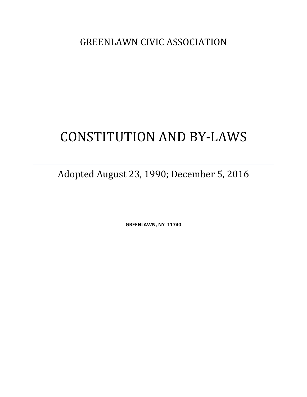**GREENLAWN CIVIC ASSOCIATION** 

# CONSTITUTION AND BY-LAWS

Adopted August 23, 1990; December 5, 2016

**GREENLAWN, NY 11740**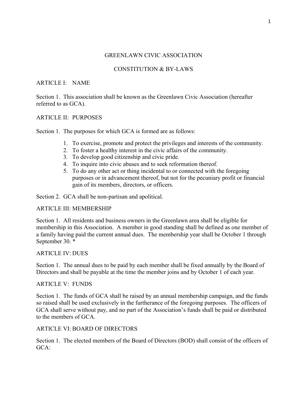## GREENLAWN CIVIC ASSOCIATION

# CONSTITUTION & BY-LAWS

## ARTICLE I: NAME

Section 1. This association shall be known as the Greenlawn Civic Association (hereafter referred to as GCA).

## ARTICLE II: PURPOSES

Section 1. The purposes for which GCA is formed are as follows:

- 1. To exercise, promote and protect the privileges and interests of the community.
- 2. To foster a healthy interest in the civic affairs of the community.
- 3. To develop good citizenship and civic pride.
- 4. To inquire into civic abuses and to seek reformation thereof.
- 5. To do any other act or thing incidental to or connected with the foregoing purposes or in advancement thereof, but not for the pecuniary profit or financial gain of its members, directors, or officers.

Section 2. GCA shall be non-partisan and apolitical.

## ARTICLE III: MEMBERSHIP

Section 1. All residents and business owners in the Greenlawn area shall be eligible for membership in this Association. A member in good standing shall be defined as one member of a family having paid the current annual dues. The membership year shall be October 1 through September 30. \*

## ARTICLE IV: DUES

Section 1. The annual dues to be paid by each member shall be fixed annually by the Board of Directors and shall be payable at the time the member joins and by October 1 of each year.

## ARTICLE V: FUNDS

Section 1. The funds of GCA shall be raised by an annual membership campaign, and the funds so raised shall be used exclusively in the furtherance of the foregoing purposes. The officers of GCA shall serve without pay, and no part of the Association's funds shall be paid or distributed to the members of GCA.

## ARTICLE VI: BOARD OF DIRECTORS

Section 1. The elected members of the Board of Directors (BOD) shall consist of the officers of GCA: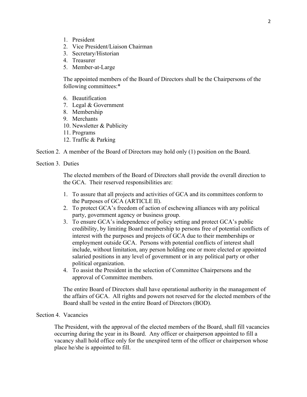- 1. President
- 2. Vice President/Liaison Chairman
- 3. Secretary/Historian
- 4. Treasurer
- 5. Member-at-Large

The appointed members of the Board of Directors shall be the Chairpersons of the following committees:\*

- 6. Beautification
- 7. Legal & Government
- 8. Membership
- 9. Merchants
- 10. Newsletter & Publicity
- 11. Programs
- 12. Traffic & Parking
- Section 2. A member of the Board of Directors may hold only (1) position on the Board.
- Section 3. Duties

The elected members of the Board of Directors shall provide the overall direction to the GCA. Their reserved responsibilities are:

- 1. To assure that all projects and activities of GCA and its committees conform to the Purposes of GCA (ARTICLE II).
- 2. To protect GCA's freedom of action of eschewing alliances with any political party, government agency or business group.
- 3. To ensure GCA's independence of policy setting and protect GCA's public credibility, by limiting Board membership to persons free of potential conflicts of interest with the purposes and projects of GCA due to their memberships or employment outside GCA. Persons with potential conflicts of interest shall include, without limitation, any person holding one or more elected or appointed salaried positions in any level of government or in any political party or other political organization.
- 4. To assist the President in the selection of Committee Chairpersons and the approval of Committee members.

The entire Board of Directors shall have operational authority in the management of the affairs of GCA. All rights and powers not reserved for the elected members of the Board shall be vested in the entire Board of Directors (BOD).

## Section 4. Vacancies

The President, with the approval of the elected members of the Board, shall fill vacancies occurring during the year in its Board. Any officer or chairperson appointed to fill a vacancy shall hold office only for the unexpired term of the officer or chairperson whose place he/she is appointed to fill.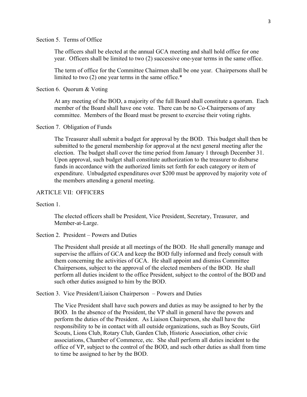#### Section 5. Terms of Office

The officers shall be elected at the annual GCA meeting and shall hold office for one year. Officers shall be limited to two (2) successive one-year terms in the same office.

The term of office for the Committee Chairmen shall be one year. Chairpersons shall be limited to two (2) one year terms in the same office.\*

Section 6. Quorum & Voting

At any meeting of the BOD, a majority of the full Board shall constitute a quorum. Each member of the Board shall have one vote. There can be no Co-Chairpersons of any committee. Members of the Board must be present to exercise their voting rights.

#### Section 7. Obligation of Funds

The Treasurer shall submit a budget for approval by the BOD. This budget shall then be submitted to the general membership for approval at the next general meeting after the election. The budget shall cover the time period from January 1 through December 31. Upon approval, such budget shall constitute authorization to the treasurer to disburse funds in accordance with the authorized limits set forth for each category or item of expenditure. Unbudgeted expenditures over \$200 must be approved by majority vote of the members attending a general meeting.

#### ARTICLE VII: OFFICERS

#### Section 1

The elected officers shall be President, Vice President, Secretary, Treasurer, and Member-at-Large.

## Section 2. President – Powers and Duties

The President shall preside at all meetings of the BOD. He shall generally manage and supervise the affairs of GCA and keep the BOD fully informed and freely consult with them concerning the activities of GCA. He shall appoint and dismiss Committee Chairpersons, subject to the approval of the elected members of the BOD. He shall perform all duties incident to the office President, subject to the control of the BOD and such other duties assigned to him by the BOD.

Section 3. Vice President/Liaison Chairperson – Powers and Duties

The Vice President shall have such powers and duties as may be assigned to her by the BOD. In the absence of the President, the VP shall in general have the powers and perform the duties of the President. As Liaison Chairperson, she shall have the responsibility to be in contact with all outside organizations, such as Boy Scouts, Girl Scouts, Lions Club, Rotary Club, Garden Club, Historic Association, other civic associations, Chamber of Commerce, etc. She shall perform all duties incident to the office of VP, subject to the control of the BOD, and such other duties as shall from time to time be assigned to her by the BOD.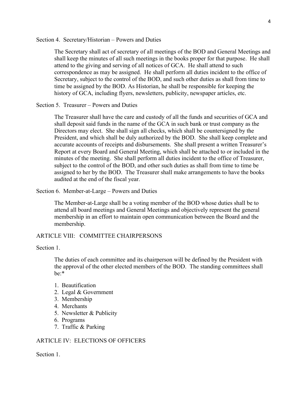Section 4. Secretary/Historian – Powers and Duties

The Secretary shall act of secretary of all meetings of the BOD and General Meetings and shall keep the minutes of all such meetings in the books proper for that purpose. He shall attend to the giving and serving of all notices of GCA. He shall attend to such correspondence as may be assigned. He shall perform all duties incident to the office of Secretary, subject to the control of the BOD, and such other duties as shall from time to time be assigned by the BOD. As Historian, he shall be responsible for keeping the history of GCA, including flyers, newsletters, publicity, newspaper articles, etc.

Section 5. Treasurer – Powers and Duties

The Treasurer shall have the care and custody of all the funds and securities of GCA and shall deposit said funds in the name of the GCA in such bank or trust company as the Directors may elect. She shall sign all checks, which shall be countersigned by the President, and which shall be duly authorized by the BOD. She shall keep complete and accurate accounts of receipts and disbursements. She shall present a written Treasurer's Report at every Board and General Meeting, which shall be attached to or included in the minutes of the meeting. She shall perform all duties incident to the office of Treasurer, subject to the control of the BOD, and other such duties as shall from time to time be assigned to her by the BOD. The Treasurer shall make arrangements to have the books audited at the end of the fiscal year.

Section 6. Member-at-Large – Powers and Duties

The Member-at-Large shall be a voting member of the BOD whose duties shall be to attend all board meetings and General Meetings and objectively represent the general membership in an effort to maintain open communication between the Board and the membership.

## ARTICLE VIII: COMMITTEE CHAIRPERSONS

Section 1.

The duties of each committee and its chairperson will be defined by the President with the approval of the other elected members of the BOD. The standing committees shall be:\*

- 1. Beautification
- 2. Legal & Government
- 3. Membership
- 4. Merchants
- 5. Newsletter & Publicity
- 6. Programs
- 7. Traffic & Parking

#### ARTICLE IV: ELECTIONS OF OFFICERS

Section 1.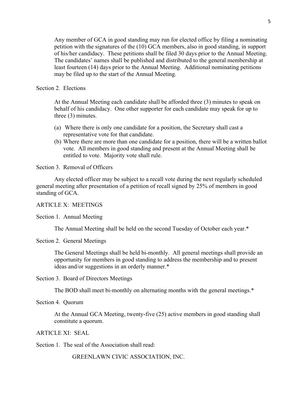Any member of GCA in good standing may run for elected office by filing a nominating petition with the signatures of the (10) GCA members, also in good standing, in support of his/her candidacy. These petitions shall be filed 30 days prior to the Annual Meeting. The candidates' names shall be published and distributed to the general membership at least fourteen (14) days prior to the Annual Meeting. Additional nominating petitions may be filed up to the start of the Annual Meeting.

#### Section 2. Elections

At the Annual Meeting each candidate shall be afforded three (3) minutes to speak on behalf of his candidacy. One other supporter for each candidate may speak for up to three (3) minutes.

- (a) Where there is only one candidate for a position, the Secretary shall cast a representative vote for that candidate.
- (b) Where there are more than one candidate for a position, there will be a written ballot vote. All members in good standing and present at the Annual Meeting shall be entitled to vote. Majority vote shall rule.

Section 3. Removal of Officers

Any elected officer may be subject to a recall vote during the next regularly scheduled general meeting after presentation of a petition of recall signed by 25% of members in good standing of GCA.

#### ARTICLE X: MEETINGS

Section 1. Annual Meeting

The Annual Meeting shall be held on the second Tuesday of October each year.\*

#### Section 2. General Meetings

The General Meetings shall be held bi-monthly. All general meetings shall provide an opportunity for members in good standing to address the membership and to present ideas and/or suggestions in an orderly manner.\*

Section 3. Board of Directors Meetings

The BOD shall meet bi-monthly on alternating months with the general meetings.\*

Section 4. Quorum

At the Annual GCA Meeting, twenty-five (25) active members in good standing shall constitute a quorum.

#### ARTICLE XI: SEAL

Section 1. The seal of the Association shall read:

GREENLAWN CIVIC ASSOCIATION, INC.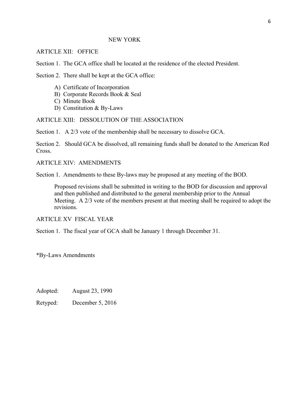#### NEW YORK

#### ARTICLE XII: OFFICE

Section 1. The GCA office shall be located at the residence of the elected President.

Section 2. There shall be kept at the GCA office:

- A) Certificate of Incorporation
- B) Corporate Records Book & Seal
- C) Minute Book
- D) Constitution & By-Laws

## ARTICLE XIII: DISSOLUTION OF THE ASSOCIATION

Section 1. A 2/3 vote of the membership shall be necessary to dissolve GCA.

Section 2. Should GCA be dissolved, all remaining funds shall be donated to the American Red Cross.

ARTICLE XIV: AMENDMENTS

Section 1. Amendments to these By-laws may be proposed at any meeting of the BOD.

Proposed revisions shall be submitted in writing to the BOD for discussion and approval and then published and distributed to the general membership prior to the Annual Meeting. A 2/3 vote of the members present at that meeting shall be required to adopt the revisions.

ARTICLE XV FISCAL YEAR

Section 1. The fiscal year of GCA shall be January 1 through December 31.

\*By-Laws Amendments

Adopted: August 23, 1990

Retyped: December 5, 2016